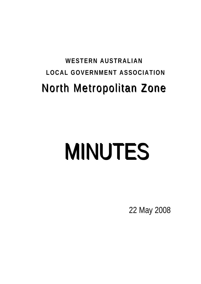# **WESTERN AUSTRALIAN LOCAL GOVERNMENT ASSOCIATION**  North Metropolitan Zone

# MINUTES

22 May 2008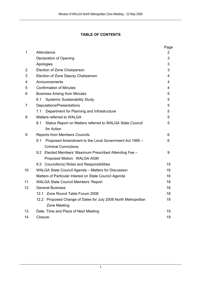### **TABLE OF CONTENTS**

|                |                                                                 | Page |  |
|----------------|-----------------------------------------------------------------|------|--|
| 1              | Attendance                                                      | 2    |  |
|                | Declaration of Opening                                          | 3    |  |
|                | Apologies                                                       | 3    |  |
| 2              | Election of Zone Chairperson                                    | 3    |  |
| 3              | Election of Zone Deputy Chairperson                             | 4    |  |
| 4              | Announcements                                                   | 4    |  |
| 5              | <b>Confirmation of Minutes</b>                                  |      |  |
| 6              | <b>Business Arising from Minutes</b>                            |      |  |
|                | <b>Systemic Sustainability Study</b><br>6.1                     | 5    |  |
| $\overline{7}$ | Deputations/Presentations                                       | 5    |  |
|                | Department for Planning and Infrastructure<br>7.1               | 5    |  |
| 8              | Matters referred to WALGA                                       |      |  |
|                | 8.1<br>Status Report on Matters referred to WALGA State Council | 5    |  |
|                | for Action                                                      |      |  |
| 9              | <b>Reports from Members Councils</b>                            |      |  |
|                | 9.1<br>Proposed Amendment to the Local Government Act 1995 -    | 6    |  |
|                | <b>Criminal Convictions</b>                                     |      |  |
|                | 9.2 Elected Members' Maximum Prescribed Attending Fee -         | 9    |  |
|                | Proposed Motion: WALGA AGM                                      |      |  |
|                | 9.3 Councillor(s) Roles and Responsibilities                    | 15   |  |
| 10             | WALGA State Council Agenda - Matters for Discussion             | 16   |  |
|                | Matters of Particular Interest on State Council Agenda          |      |  |
| 11             | <b>WALGA State Council Members' Report</b>                      | 18   |  |
| 12             | <b>General Business</b>                                         |      |  |
|                | 12.1 Zone Round Table Forum 2008                                | 18   |  |
|                | 12.2 Proposed Change of Dates for July 2008 North Metropolitan  | 19   |  |
|                | Zone Meeting                                                    |      |  |
| 13             | Date, Time and Place of Next Meeting                            | 19   |  |
| 14             | Closure                                                         |      |  |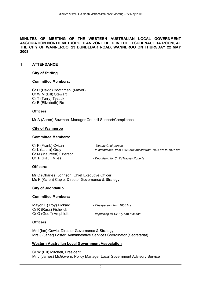**MINUTES OF MEETING OF THE WESTERN AUSTRALIAN LOCAL GOVERNMENT ASSOCIATION NORTH METROPOLITAN ZONE HELD IN THE LESCHENAULTIA ROOM, AT THE CITY OF WANNEROO, 23 DUNDEBAR ROAD, WANNEROO ON THURSDAY 22 MAY 2008** 

#### **1 ATTENDANCE**

#### **City of Stirling**

#### **Committee Members:**

 Cr D (David) Boothman (Mayor) Cr W M (Bill) Stewart Cr T (Terry) Tyzack Cr E (Elizabeth) Re

#### **Officers:**

Mr A (Aaron) Bowman, Manager Council Support/Compliance

#### **City of Wanneroo**

#### **Committee Members:**

 Cr F (Frank) Cvitan *- Deputy Chairperson* Cr L (Laura) Gray - *in attendance from 1804 hrs; absent from 1826 hrs to 1827 hrs* Cr M (Maureen) Grierson Cr P (Paul) Miles - *Deputising for Cr T (Tracey) Roberts*

#### **Officers:**

 Mr C (Charles) Johnson, Chief Executive Officer Ms K (Karen) Caple, Director Governance & Strategy

#### **City of Joondalup**

#### **Committee Members:**

| Mayor T (Troy) Pickard | - Chairperson from 1806 hrs        |
|------------------------|------------------------------------|
| Cr R (Russ) Fishwick   |                                    |
| Cr G (Geoff) Amphlett  | - deputising for Cr T (Tom) McLean |

#### **Officers:**

Mr I (Ian) Cowie, Director Governance & Strategy Mrs J (Janet) Foster, Administrative Services Coordinator (Secretariat)

#### **Western Australian Local Government Association**

Cr W (Bill) Mitchell, President Mr J (James) McGovern, Policy Manager Local Government Advisory Service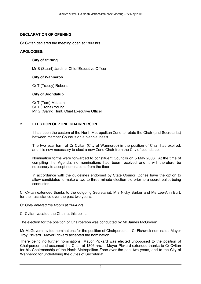#### **DECLARATION OF OPENING**

Cr Cvitan declared the meeting open at 1803 hrs.

#### **APOLOGIES:**

#### **City of Stirling**

Mr S (Stuart) Jardine, Chief Executive Officer

#### **City of Wanneroo**

Cr T (Tracey) Roberts

#### **City of Joondalup**

Cr T (Tom) McLean Cr T (Trona) Young Mr G (Garry) Hunt, Chief Executive Officer

#### **2 ELECTION OF ZONE CHAIRPERSON**

It has been the custom of the North Metropolitan Zone to rotate the Chair (and Secretariat) between member Councils on a biennial basis.

The two year term of Cr Cvitan (City of Wanneroo) in the position of Chair has expired, and it is now necessary to elect a new Zone Chair from the City of Joondalup.

Nomination forms were forwarded to constituent Councils on 5 May 2008. At the time of compiling the Agenda, no nominations had been received and it will therefore be necessary to accept nominations from the floor.

In accordance with the guidelines endorsed by State Council, Zones have the option to allow candidates to make a two to three minute election bid prior to a secret ballot being conducted.

Cr Cvitan extended thanks to the outgoing Secretariat, Mrs Nicky Barker and Ms Lee-Ann Burt, for their assistance over the past two years.

*Cr Gray entered the Room at 1804 hrs.* 

Cr Cvitan vacated the Chair at this point.

The election for the position of Chairperson was conducted by Mr James McGovern.

Mr McGovern invited nominations for the position of Chairperson. Cr Fishwick nominated Mayor Troy Pickard. Mayor Pickard accepted the nomination.

There being no further nominations, Mayor Pickard was elected unopposed to the position of Chairperson and assumed the Chair at 1806 hrs. Mayor Pickard extended thanks to Cr Cvitan for his Chairmanship of the North Metropolitan Zone over the past two years, and to the City of Wanneroo for undertaking the duties of Secretariat.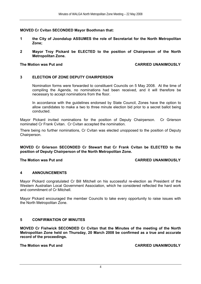#### **MOVED Cr Cvitan SECONDED Mayor Boothman that:**

- **1 the City of Joondalup ASSUMES the role of Secretariat for the North Metropolitan Zone;**
- **2 Mayor Troy Pickard be ELECTED to the position of Chairperson of the North Metropolitan Zone.**

#### The Motion was Put and **CARRIED UNANIMOUSLY**

#### **3 ELECTION OF ZONE DEPUTY CHAIRPERSON**

Nomination forms were forwarded to constituent Councils on 5 May 2008. At the time of compiling the Agenda, no nominations had been received, and it will therefore be necessary to accept nominations from the floor.

In accordance with the guidelines endorsed by State Council, Zones have the option to allow candidates to make a two to three minute election bid prior to a secret ballot being conducted.

Mayor Pickard invited nominations for the position of Deputy Chairperson. Cr Grierson nominated Cr Frank Cvitan. Cr Cvitan accepted the nomination.

There being no further nominations, Cr Cvitan was elected unopposed to the position of Deputy Chairperson.

**MOVED Cr Grierson SECONDED Cr Stewart that Cr Frank Cvitan be ELECTED to the position of Deputy Chairperson of the North Metropolitan Zone.** 

#### The Motion was Put and **CARRIED UNANIMOUSLY**

#### **4 ANNOUNCEMENTS**

Mayor Pickard congratulated Cr Bill Mitchell on his successful re-election as President of the Western Australian Local Government Association, which he considered reflected the hard work and commitment of Cr Mitchell.

Mayor Pickard encouraged the member Councils to take every opportunity to raise issues with the North Metropolitan Zone.

#### **5 CONFIRMATION OF MINUTES**

**MOVED Cr Fishwick SECONDED Cr Cvitan that the Minutes of the meeting of the North Metropolitan Zone held on Thursday, 20 March 2008 be confirmed as a true and accurate record of the proceedings.** 

**The Motion was Put and CARRIED UNANIMOUSLY**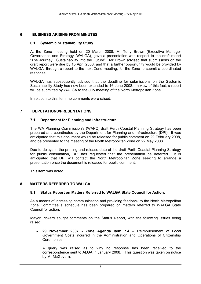#### **6 BUSINESS ARISING FROM MINUTES**

#### **6.1 Systemic Sustainability Study**

At the Zone meeting held on 20 March 2008, Mr Tony Brown (Executive Manager Governance and Strategy, WALGA), gave a presentation with respect to the draft report "The Journey: Sustainability into the Future". Mr Brown advised that submissions on the draft report were due by 15 April 2008, and that a further opportunity would be provided by WALGA, through a report to the next Zone meeting, for the Zone to submit a coordinated response.

WALGA has subsequently advised that the deadline for submissions on the Systemic Sustainability Study has now been extended to 16 June 2008. In view of this fact, a report will be submitted by WALGA to the July meeting of the North Metropolitan Zone.

In relation to this item, no comments were raised.

#### **7 DEPUTATIONS/PRESENTATIONS**

#### **7.1 Department for Planning and Infrastructure**

The WA Planning Commission's (WAPC) draft Perth Coastal Planning Strategy has been prepared and coordinated by the Department for Planning and Infrastructure (DPI). It was anticipated that this document would be released for public comment on 29 February 2008, and be presented to the meeting of the North Metropolitan Zone on 22 May 2008.

Due to delays in the printing and release date of the draft Perth Coastal Planning Strategy for public consultation, DPI has requested that the presentation be deferred. It is anticipated that DPI will contact the North Metropolitan Zone seeking to arrange a presentation once the document is released for public comment.

This item was noted.

#### **8 MATTERS REFERRED TO WALGA**

#### **8.1 Status Report on Matters Referred to WALGA State Council for Action.**

As a means of increasing communication and providing feedback to the North Metropolitan Zone Committee a schedule has been prepared on matters referred to WALGA State Council for action.

Mayor Pickard sought comments on the Status Report, with the following issues being raised:

• **29 November 2007 - Zone Agenda Item 7.4** – Reimbursement of Local Government Costs incurred in the Administration and Operations of Citizenship **Ceremonies** 

A query was raised as to why no response has been received to the correspondence sent to ALGA in January 2008. This question was taken on notice by Mr McGovern.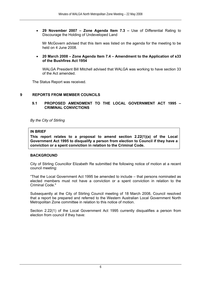• **29 November 2007 – Zone Agenda Item 7.3 –** Use of Differential Rating to Discourage the Holding of Undeveloped Land

Mr McGovern advised that this item was listed on the agenda for the meeting to be held on 4 June 2008.

#### • **20 March 2008 – Zone Agenda Item 7.4 – Amendment to the Application of s33 of the Bushfires Act 1954**

WALGA President Bill Mitchell advised that WALGA was working to have section 33 of the Act amended.

The Status Report was received.

#### **9 REPORTS FROM MEMBER COUNCILS**

#### **9.1 PROPOSED AMENDMENT TO THE LOCAL GOVERNMENT ACT 1995 – CRIMINAL CONVICTIONS**

*By the City of Stirling* 

#### **IN BRIEF**

**This report relates to a proposal to amend section 2.22(1)(a) of the Local Government Act 1995 to disqualify a person from election to Council if they have a conviction or a spent conviction in relation to the Criminal Code.** 

#### **BACKGROUND**

City of Stirling Councillor Elizabeth Re submitted the following notice of motion at a recent council meeting:

"That the Local Government Act 1995 be amended to include – that persons nominated as elected members must not have a conviction or a spent conviction in relation to the Criminal Code."

Subsequently at the City of Stirling Council meeting of 18 March 2008, Council resolved that a report be prepared and referred to the Western Australian Local Government North Metropolitan Zone committee in relation to this notice of motion.

Section 2.22(1) of the Local Government Act 1995 currently disqualifies a person from election from council if they have: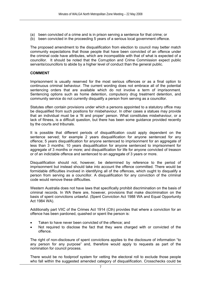- (a) been convicted of a crime and is in prison serving a sentence for that crime; or
- (b) been convicted in the proceeding 5 years of a serious local government offence.

The proposed amendment to the disqualification from election to council may better match community expectations that those people that have been convicted of an offence under the criminal code have attributes, which are incompatible with that of what is expected of a councillor. It should be noted that the Corruption and Crime Commission expect public servants/councillors to abide by a higher level of conduct than the general public.

#### **COMMENT**

Imprisonment is usually reserved for the most serious offences or as a final option to continuous criminal behaviour. The current wording does not embrace all of the potential sentencing orders that are available which do not involve a term of imprisonment. Sentencing options such as home detention, compulsory drug treatment detention, and community service do not currently disqualify a person from serving as a councillor.

Statutes often contain provisions under which a persons appointed to a statutory office may be disqualified from such positions for misbehaviour. In other cases a statues may provide that an individual must be a 'fit and proper' person. What constitutes misbehaviour, or a lack of fitness, is a difficult question, but there has been some guidance provided recently by the courts and tribunals.

It is possible that different periods of disqualification could apply dependent on the sentence served; for example 2 years disqualification for anyone sentenced for any offence; 5 years disqualification for anyone sentenced to imprisonment for an aggregate of less than 3 months; 10 years disqualification for anyone sentenced to imprisonment for aggregate of 3 months or more; and disqualification for life for anyone convicted of treason or of an indictable offence and sentenced to an aggregate of 3 years or more.

Disqualification should not, however, be determined by reference to the period of imprisonment but instead should take into account the offence committed. There would be formidable difficulties involved in identifying all of the offences, which ought to disqualify a person from serving as a councillor. A disqualification for any conviction of the criminal code would remove these difficulties.

Western Australia does not have laws that specifically prohibit discrimination on the basis of criminal records. In WA there are, however, provisions that make discrimination on the basis of spent convictions unlawful. (Spent Conviction Act 1988 WA and Equal Opportunity Act 1984 WA).

Additionally part VIIC of the Crimes Act 1914 (Cth) provides that where a conviction for an offence has been pardoned, quashed or spent the person is:

- Taken to have never been convicted of the offence; and
- Not required to disclose the fact that they were charged with or convicted of the offence.

The right of non-disclosure of spent convictions applies to the disclosure of information "to any person for any purpose" and, therefore would apply to requests as part of the nomination for council process.

There would be no foolproof system for vetting the electoral roll to exclude those people who fall within the suggested amended category of disqualification. Crosschecks could be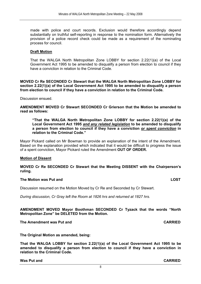made with police and court records. Exclusion would therefore accordingly depend substantially on truthful self-reporting in response to the nomination form. Alternatively the provision of a police record check could be made as a requirement of the nominating process for council.

#### **Draft Motion**

That the WALGA North Metropolitan Zone LOBBY for section 2.22(1)(a) of the Local Government Act 1995 to be amended to disqualify a person from election to council if they have a conviction in relation to the Criminal Code.

**MOVED Cr Re SECONDED Cr Stewart that the WALGA North Metropolitan Zone LOBBY for section 2.22(1)(a) of the Local Government Act 1995 to be amended to disqualify a person from election to council if they have a conviction in relation to the Criminal Code.** 

Discussion ensued.

**AMENDMENT MOVED Cr Stewart SECONDED Cr Grierson that the Motion be amended to read as follows:** 

**"That the WALGA North Metropolitan Zone LOBBY for section 2.22(1)(a) of the Local Government Act 1995** *and any related legislation* **to be amended to disqualify a person from election to council if they have a conviction** *or spent conviction* **in relation to the Criminal Code."** 

Mayor Pickard called on Mr Bowman to provide an explanation of the intent of the Amendment. Based on the explanation provided which indicated that it would be difficult to progress the issue of a spent conviction, Mayor Pickard ruled the Amendment **OUT OF ORDER.**

#### **Motion of Dissent**

**MOVED Cr Re SECONDED Cr Stewart that the Meeting DISSENT with the Chairperson's ruling.** 

#### **The Motion was Put and LOST COST CONTROL**

Discussion resumed on the Motion Moved by Cr Re and Seconded by Cr Stewart.

*During discussion, Cr Gray left the Room at 1826 hrs and returned at 1827 hrs.* 

**AMENDMENT MOVED Mayor Boothman SECONDED Cr Tyzack that the words "North Metropolitan Zone" be DELETED from the Motion.** 

#### **The Amendment was Put and CARRIED**

**The Original Motion as amended, being:** 

**That the WALGA LOBBY for section 2.22(1)(a) of the Local Government Act 1995 to be amended to disqualify a person from election to council if they have a conviction in relation to the Criminal Code.**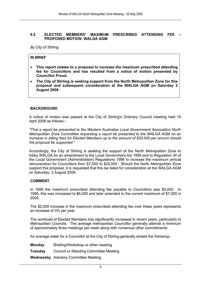#### **9.2 ELECTED MEMBERS' MAXIMUM PRESCRIBED ATTENDING FEE – PROPOSED MOTION: WALGA AGM**

*By City of Stirling* 

#### **IN BRIEF**

- **This report relates to a proposal to increase the maximum prescribed attending fee for Councillors and has resulted from a notice of motion presented by Councillor Proud.**
- **The City of Stirling is seeking support from the North Metropolitan Zone for this proposal and subsequent consideration at the WALGA AGM on Saturday 2 August 2008.**

#### **BACKGROUND**

A notice of motion was passed at the City of Stirling's Ordinary Council meeting held 15 April 2008 as follows:-

*"That a report be presented to the Western Australian Local Government Association North Metropolitan Zone Committee requesting a report be presented to the WALGA AGM on an increase in sitting fees for Elected Members up to the amount of \$20,000 per annum should the proposal be supported."* 

Accordingly, the City of Stirling is seeking the support of the North Metropolitan Zone to lobby WALGA for an amendment to the Local Government Act 1995 and to Regulation 34 of the Local Government (Administration) Regulations 1996 to increase the maximum annual remuneration for Councillors from \$7,000 to \$20,000. Should the North Metropolitan Zone support this proposal, it is requested that this be listed for consideration at the WALGA AGM on Saturday, 2 August 2008.

#### **COMMENT**

In 1995 the maximum prescribed attending fee payable to Councillors was \$5,000. In 1999, this was increased to \$6,000 and later amended to the current maximum of \$7,000 in 2005.

The \$2,000 increase in the maximum prescribed attending fee over these years represents an increase of 3% per year.

The workload of Elected Members has significantly increased in recent years, particularly in Metropolitan Councils. The average metropolitan Councillor generally attends a minimum of approximately three meetings per week along with numerous other commitments.

An average week for a Councillor at the City of Stirling generally entails the following:-

- **Monday** Briefing/Workshop or other meeting
- **Tuesday** Council or Standing Committee Meeting

**Wednesday** Advisory Committee Meeting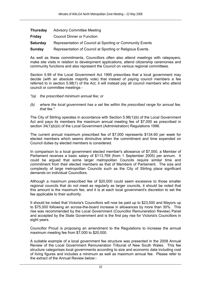| <b>Thursday</b> | <b>Advisory Committee Meeting</b>                          |
|-----------------|------------------------------------------------------------|
| <b>Friday</b>   | <b>Council Dinner or Function</b>                          |
| <b>Saturday</b> | Representation of Council at Sporting or Community Events  |
| Sunday          | Representation of Council at Sporting or Religious Events. |

As well as these commitments, Councillors often also attend meetings with ratepayers, make site visits in relation to development applications, attend citizenship ceremonies and community functions and also represent the Council on various regional committees.

Section 5.99 of the Local Government Act 1995 prescribes that a local government may decide (with an absolute majority vote) that instead of paying council members a fee referred to in section 5.98(1) of the Act, it will instead pay all council members who attend council or committee meetings -

- *"(a) the prescribed minimum annual fee; or*
- *(b) where the local government has a set fee within the prescribed range for annual fee, that fee."*

The City of Stirling operates in accordance with Section 5.98(1)(b) of the Local Government Act and pays its members the maximum annual meeting fee of \$7,000 as prescribed in section 34(1)(b)(ii) of the Local Government (Administration) Regulations 1996.

The current annual maximum prescribed fee of \$7,000 represents \$134.60 per week for elected members which seems diminutive when the commitment and time expended on Council duties by elected members is considered.

In comparison to a local government elected member's allowance of \$7,000, a Member of Parliament receives a basic salary of \$113,769 (from 1 September 2005) per annum. It could be argued that some larger metropolitan Councils require similar time and commitment from their elected members as that of Members of Parliament. The size and complexity of large metropolitan Councils such as the City of Stirling place significant demands on individual Councillors.

Although a maximum prescribed fee of \$20,000 could seem excessive to those smaller regional councils that do not meet as regularly as larger councils, it should be noted that this amount is the maximum fee, and it is at each local government's discretion to set the fee applicable to their authority.

It should be noted that Victoria's Councillors will now be paid up to \$23,500 and Mayors up to \$75,000 following an across-the-board increase in allowances by more than 30%. This rise was recommended by the Local Government (Councillor Remuneration Review) Panel and accepted by the State Government and is the first pay rise for Victoria's Councillors in eight years.

Councillor Proud is proposing an amendment to the Regulations to increase the annual maximum meeting fee from \$7,000 to \$20,000.

A suitable example of a local government fee structure was presented in the 2008 Annual Review of the Local Government Remuneration Tribunal of New South Wales. This fee structure categorises local governments according to size and economic data including cost of living figures and includes a minimum as well as maximum annual fee. Please refer to the extract of the Annual Review below:-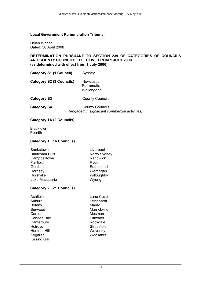#### **Local Government Remuneration Tribunal**

Helen Wright Dated: 30 April 2008

#### **DETERMINATION PURSUANT TO SECTION 239 OF CATEGORIES OF COUNCILS AND COUNTY COUNCILS EFFECTIVE FROM 1 JULY 2008 (as determined with effect from 1 July 2006)**

| <b>Category S1 (1 Council)</b> | Sydney |
|--------------------------------|--------|
|--------------------------------|--------|

**Category S2 (3 Councils)** Newcastle Parramatta Wollongong

**Category S3** County Councils

**Category S4** County Councils *(engaged in significant commercial activities)*

#### **Category 1A (2 Councils)**

**Blacktown** Penrith

#### **Category 1. (16 Councils**)

| North Sydney |
|--------------|
|              |
|              |
|              |
|              |
|              |
|              |
|              |

#### **Category 2. (21 Councils)**

| Ashfield       | Lane Cove        |
|----------------|------------------|
| Auburn         | Leichhardt       |
| Botany         | Manly            |
| <b>Burwood</b> | Marrickville     |
| Camden         | Mosman           |
| Canada Bay     | <b>Pittwater</b> |
| Canterbury     | Rockdale         |
| Holroyd        | Strathfield      |
| Hunters Hill   | Waverley         |
| Kogarah        | Woollahra        |
| Ku ring Gai    |                  |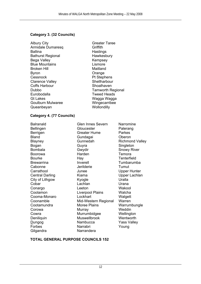#### **Category 3. (32 Councils)**

Albury City **Greater Taree** Armidale Dumaresq Griffith Ballina **Hastings** Bathurst Regional **Hawkesbury** Bega Valley **Kempsey** Blue Mountains **Lismore** Broken Hill Maitland Byron **Byron** Orange Cessnock Pt Stephens Clarence Valley Clarence Valley Coffs Harbour Shoalhaven Dubbo Tamworth Regional Eurobodalla Tweed Heads Gt Lakes Wagga Wagga Wagga Goulburn Mulwaree Wingecarribee Queanbeyan Wollondilly

#### **Category 4. (77 Councils)**

City of Lithgow Kyogle Gilgandra Narrandera

Bellingen Gloucester Palerang Berrigen Greater Hume Parkes Bland Gundagai Oberon Blayney Gunnedah Richmond Valley Bogan Guyra Singleton Bombala **Gwydir** Gwydir Snowy River Boorowa **Harden** Harden Temora Bourke Hay Hay Tenterfield Brewarrina **Inverell** Inverell Tumbarumba Cabonne Jerilderie Tumut Carrathool Junee Upper Hunter Central Darling **Kiama** Kiama Upper Lachlan<br>City of Lithgow Kyogle Kyogle Uralla Cobar Lachlan Urana Conargo Leeton Wakool Coolamon Liverpool Plains Walcha Cooma-Monaro Lockhart Lockhart Walgett Coonamble Mid-Western Regional Warren<br>Cootamundra Moree Plains Warrum Cootamundra Moree Plains Warrumbungle Corowa Murray Weddin Cowra Murrumbidgee Wellington Deniliquin Muswellbrook Wentworth Dungog Nambucca Yass Valley Forbes Narrabri Young

Balranald Glen Innes Severn Narromine

#### **TOTAL GENERAL PURPOSE COUNCILS 152**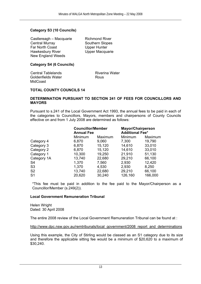#### **Category S3 (10 Councils)**

Castlereagh – Macquarie Richmond River<br>
Central Murray Central Southern Slopes Far North Coast Upper Hunter Hawkesbury River New England Weeds

Southern Slopes

#### **Category S4 (6 Councils)**

Central Tablelands **Riverina Water** Goldenfields Water **Rous MidCoast** 

#### **TOTAL COUNTY COUNCILS 14**

#### **DETERMINATION PURSUANT TO SECTION 241 OF FEES FOR COUNCILLORS AND MAYORS**

Pursuant to s.241 of the Local Government Act 1993, the annual fees to be paid in each of the categories to Councillors, Mayors, members and chairpersons of County Councils effective on and from 1 July 2008 are determined as follows:

|                | <b>Councillor/Member</b><br><b>Annual Fee</b> |         | <b>Mayor/Chairperson</b><br><b>Additional Fee*</b> |         |
|----------------|-----------------------------------------------|---------|----------------------------------------------------|---------|
|                | Minimum                                       | Maximum | Minimum                                            | Maximum |
| Category 4     | 6,870                                         | 9,060   | 7,300                                              | 19,790  |
| Category 3     | 6,870                                         | 15,120  | 14,610                                             | 33,010  |
| Category 2     | 6,870                                         | 15,120  | 14,610                                             | 33,010  |
| Category 1     | 10,300                                        | 19,250  | 21,910                                             | 51,130  |
| Category 1A    | 13,740                                        | 22,680  | 29,210                                             | 66,100  |
| S <sub>4</sub> | 1,370                                         | 7,560   | 2,930                                              | 12,420  |
| S <sub>3</sub> | 1,370                                         | 4,530   | 2,930                                              | 8,250   |
| S <sub>2</sub> | 13,740                                        | 22,680  | 29,210                                             | 66,100  |
| S <sub>1</sub> | 20,620                                        | 30,240  | 126,160                                            | 166,000 |

\*This fee must be paid in addition to the fee paid to the Mayor/Chairperson as a Councillor/Member (s.249(2)).

#### **Local Government Remuneration Tribunal**

Helen Wright Dated: 30 April 2008

The entire 2008 review of the Local Government Remuneration Tribunal can be found at :

#### http://www.dpc.nsw.gov.au/remtribunals/local\_government/2008\_report\_and\_determinations

Using this example, the City of Stirling would be classed as an S1 category due to its size and therefore the applicable sitting fee would be a minimum of \$20,620 to a maximum of \$30,240.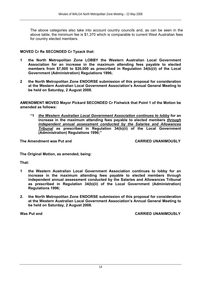The above categories also take into account country councils and, as can be seen in the above table, the minimum fee is \$1,370 which is comparable to current West Australian fees for country elected members.

#### **MOVED Cr Re SECONDED Cr Tyzack that:**

- **1 the North Metropolitan Zone LOBBY the Western Australian Local Government Association for an increase in the maximum attending fees payable to elected members from \$7,000 to \$20,000 as prescribed in Regulation 34(b)(ii) of the Local Government (Administration) Regulations 1996;**
- **2 the North Metropolitan Zone ENDORSE submission of this proposal for consideration at the Western Australian Local Government Association's Annual General Meeting to be held on Saturday, 2 August 2008.**

**AMENDMENT MOVED Mayor Pickard SECONDED Cr Fishwick that Point 1 of the Motion be amended as follows:** 

**"1** *the Western Australian Local Government Association continues to lobby* **for an increase in the maximum attending fees payable to elected members** *through independent annual assessment conducted by the Salaries and Allowances Tribunal* **as prescribed in Regulation 34(b)(ii) of the Local Government (Administration) Regulations 1996;"** 

**The Amendment was Put and CARRIED UNANIMOUSLY** 

**The Original Motion, as amended, being:** 

**That:** 

- **1 the Western Australian Local Government Association continues to lobby for an increase in the maximum attending fees payable to elected members through independent annual assessment conducted by the Salaries and Allowances Tribunal as prescribed in Regulation 34(b)(ii) of the Local Government (Administration) Regulations 1996;**
- **2. the North Metropolitan Zone ENDORSE submission of this proposal for consideration at the Western Australian Local Government Association's Annual General Meeting to be held on Saturday, 2 August 2008.**

**Was Put and CARRIED UNANIMOUSLY**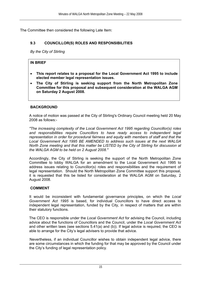The Committee then considered the following Late Item:

#### **9.3 COUNCILLOR(S) ROLES AND RESPONSIBILITIES**

*By the City of Stirling* 

#### **IN BRIEF**

- **This report relates to a proposal for the Local Government Act 1995 to include elected member legal representation issues.**
- **The City of Stirling is seeking support from the North Metropolitan Zone Committee for this proposal and subsequent consideration at the WALGA AGM on Saturday 2 August 2008.**

#### **BACKGROUND**

A notice of motion was passed at the City of Stirling's Ordinary Council meeting held 20 May 2008 as follows:-

*"The increasing complexity of the Local Government Act 1995 regarding Councillor(s) roles and responsibilities require Councillors to have ready access to independent legal representation in order for procedural fairness and equity with members of staff and that the Local Government Act 1995 BE AMENDED to address such issues at the next WALGA North Zone meeting and that this matter be LISTED by the City of Stirling for discussion at the WALGA AGM to be held on 2 August 2008."* 

Accordingly, the City of Stirling is seeking the support of the North Metropolitan Zone Committee to lobby WALGA for an amendment to the Local Government Act 1995 to address issues relating to Councillor(s) roles and responsibilities and the requirement of legal representation. Should the North Metropolitan Zone Committee support this proposal, it is requested that this be listed for consideration at the WALGA AGM on Saturday, 2 August 2008.

#### **COMMENT**

It would be inconsistent with fundamental governance principles, on which the *Local Government Act 1995* is based, for individual Councillors to have direct access to independent legal representation, funded by the City, in respect of matters that are within their statutory functions.

The CEO is responsible under the *Local Government Act* for advising the Council, including advice about the functions of Councillors and the Council, under the *Local Government Act* and other written laws (see sections 5.41(a) and (b)). If legal advice is required, the CEO is able to arrange for the City's legal advisers to provide that advice.

Nevertheless, if an individual Councillor wishes to obtain independent legal advice, there are some circumstances in which the funding for that may be approved by the Council under the City's funding of legal representation policy.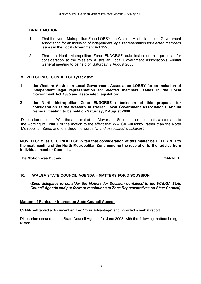#### **DRAFT MOTION**

- 1 That the North Metropolitan Zone LOBBY the Western Australian Local Government Association for an inclusion of independent legal representation for elected members issues in the Local Government Act 1995.
- 2 That the North Metropolitan Zone ENDORSE submission of this proposal for consideration at the Western Australian Local Government Association's Annual General meeting to be held on Saturday, 2 August 2008.

#### **MOVED Cr Re SECONDED Cr Tyzack that:**

- **1 the Western Australian Local Government Association LOBBY for an inclusion of independent legal representation for elected members issues in the Local Government Act 1995 and associated legislation;**
- **2 the North Metropolitan Zone ENDORSE submission of this proposal for consideration at the Western Australian Local Government Association's Annual General meeting to be held on Saturday, 2 August 2008.**

Discussion ensued. With the approval of the Mover and Seconder, amendments were made to the wording of Point 1 of the motion to the effect that WALGA will lobby, rather than the North Metropolitan Zone, and to include the words *"…and associated legislation".*

**MOVED Cr Miles SECONDED Cr Cvitan that consideration of this matter be DEFERRED to the next meeting of the North Metropolitan Zone pending the receipt of further advice from individual member Councils.** 

**The Motion was Put and CARRIED** 

#### **10. WALGA STATE COUNCIL AGENDA – MATTERS FOR DISCUSSION**

**(***Zone delegates to consider the Matters for Decision contained in the WALGA State Council Agenda and put forward resolutions to Zone Representatives on State Council)*

#### **Matters of Particular Interest on State Council Agenda**

Cr Mitchell tabled a document entitled "Your Advantage" and provided a verbal report.

Discussion ensued on the State Council Agenda for June 2008, with the following matters being raised: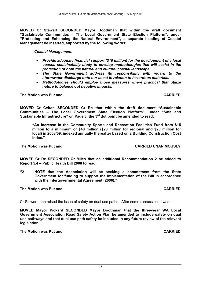**MOVED Cr Stewart SECONDED Mayor Boothman that within the draft document "Sustainable Communities – The Local Government State Election Platform", under "Protecting and Enhancing the Natural Environment", a separate heading of Coastal Management be inserted, supported by the following words:** 

*"Coastal Management.* 

- *Provide adequate financial support (\$10 million) for the development of a local coastal sustainability study to develop methodologies that will assist in the protection of both the natural and cultural coastal landscape.*
- *The State Government address its responsibility with regard to the stormwater discharge onto our coast in relation to hazardous materials.*
- *Methodologies should employ those measures where practical that utilize nature to balance out negative impacts."*

**The Motion was Put and CARRIED** 

**MOVED Cr Cvitan SECONDED Cr Re that within the draft document "Sustainable Communities – The Local Government State Election Platform", under "Safe and**  Sustainable Infrastructure" on Page 8, the 3<sup>rd</sup> dot point be amended to read:

**"An increase in the Community Sports and Recreation Facilities Fund from \$15 million to a minimum of \$40 million (\$20 million for regional and \$20 million for local) in 2008/09, indexed annually thereafter based on a Building Construction Cost Index."** 

**MOVED Cr Re SECONDED Cr Miles that an additional Recommendation 2 be added to Report 5.4 – Public Health Bill 2008 to read:** 

**"2 NOTE that the Association will be seeking a commitment from the State Government for funding to support the implementation of the Bill in accordance with the Intergovernmental Agreement (2006)."** 

#### **The Motion was Put and CARRIED**

Cr Stewart then raised the issue of safety on dual use paths. After some discussion, it was:

**MOVED Mayor Pickard SECONDED Mayor Boothman that the three-year WA Local Government Association Road Safety Action Plan be amended to include safety on dual use pathways and that dual use path safety be included in any future review of the relevant legislation.** 

**The Motion was Put and CARRIED** 

**The Motion was Put and CARRIED UNANIMOUSLY**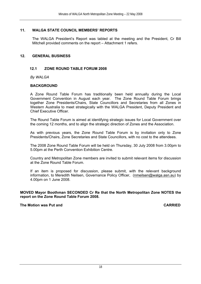#### **11. WALGA STATE COUNCIL MEMBERS' REPORTS**

The WALGA President's Report was tabled at the meeting and the President, Cr Bill Mitchell provided comments on the report – Attachment 1 refers.

#### **12. GENERAL BUSINESS**

#### **12.1 ZONE ROUND TABLE FORUM 2008**

*By WALGA* 

#### **BACKGROUND**

A Zone Round Table Forum has traditionally been held annually during the Local Government Convention in August each year. The Zone Round Table Forum brings together Zone Presidents/Chairs, State Councillors and Secretaries from all Zones in Western Australia to meet strategically with the WALGA President, Deputy President and Chief Executive Officer.

The Round Table Forum is aimed at identifying strategic issues for Local Government over the coming 12 months, and to align the strategic direction of Zones and the Association.

As with previous years, the Zone Round Table Forum is by invitation only to Zone Presidents/Chairs, Zone Secretaries and State Councillors, with no cost to the attendees.

The 2008 Zone Round Table Forum will be held on Thursday, 30 July 2008 from 3.00pm to 5.00pm at the Perth Convention Exhibition Centre.

Country and Metropolitan Zone members are invited to submit relevant items for discussion at the Zone Round Table Forum.

If an item is proposed for discussion, please submit, with the relevant background information, to Meredith Neilsen, Governance Policy Officer, (nmeilsen@walga.asn.au) by 4.00pm on 1 June 2008.

**MOVED Mayor Boothman SECONDED Cr Re that the North Metropolitan Zone NOTES the report on the Zone Round Table Forum 2008.** 

#### **The Motion was Put and CARRIED**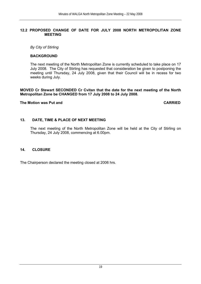#### **12.2 PROPOSED CHANGE OF DATE FOR JULY 2008 NORTH METROPOLITAN ZONE MEETING**

*By City of Stirling* 

#### **BACKGROUND**

The next meeting of the North Metropolitan Zone is currently scheduled to take place on 17 July 2008. The City of Stirling has requested that consideration be given to postponing the meeting until Thursday, 24 July 2008, given that their Council will be in recess for two weeks during July.

#### **MOVED Cr Stewart SECONDED Cr Cvitan that the date for the next meeting of the North Metropolitan Zone be CHANGED from 17 July 2008 to 24 July 2008.**

#### **The Motion was Put and CARRIED**

#### **13. DATE, TIME & PLACE OF NEXT MEETING**

The next meeting of the North Metropolitan Zone will be held at the City of Stirling on Thursday, 24 July 2008, commencing at 6.00pm.

#### **14. CLOSURE**

The Chairperson declared the meeting closed at 2006 hrs.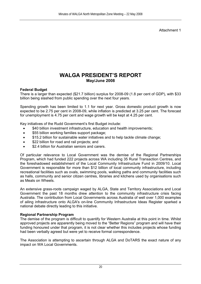Attachment 1

## **WALGA PRESIDENT'S REPORT May/June 2008**

#### **Federal Budget**

There is a larger than expected (\$21.7 billion) surplus for 2008-09 (1.8 per cent of GDP), with \$33 billion being slashed from public spending over the next four years.

Spending growth has been limited to 1.1 for next year. Gross domestic product growth is now expected to be 2.75 per cent in 2008-09, while inflation is predicted at 3.25 per cent. The forecast for unemployment is 4.75 per cent and wage growth will be kept at 4.25 per cent.

Key initiatives of the Rudd Government's first Budget include:

- \$40 billion investment infrastructure, education and health improvements;
- \$55 billion working families support package;
- \$15.2 billion for sustainable water initiatives and to help tackle climate change;
- \$22 billion for road and rail projects; and
- \$2.4 billion for Australian seniors and carers.

Of particular relevance to Local Government was the demise of the Regional Partnerships Program, which had funded 222 projects across WA including 35 Rural Transaction Centres, and the foreshadowed establishment of the Local Community Infrastructure Fund in 2009/10. Local Government is responsible for more than \$12 billion of local community infrastructure, including recreational facilities such as ovals, swimming pools, walking paths and community facilities such as halls, community and senior citizen centres, libraries and kitchens used by organisations such as Meals on Wheels.

An extensive grass-roots campaign waged by ALGA, State and Territory Associations and Local Government the past 18 months drew attention to the community infrastructure crisis facing Australia. The contribution from Local Governments across Australia of well over 1,000 examples of ailing infrastructure onto ALGA's on-line Community Infrastructure Ideas Register sparked a national debate directly leading to this initiative.

#### **Regional Partnership Program**

The demise of the program is difficult to quantify for Western Australia at this point in time. Whilst approved projects are apparently being moved to the "Better Regions" program and will have their funding honoured under that program, it is not clear whether this includes projects whose funding had been verbally agreed but were yet to receive formal correspondence.

The Association is attempting to ascertain through ALGA and DoTARS the exact nature of any impact on WA Local Governments.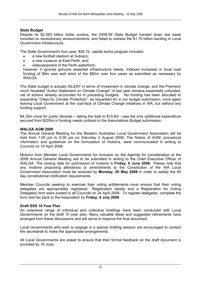#### **State Budget**

Despite its \$2.093 billion dollar surplus, the 2008-09 State Budget handed down last week included no revolutionary announcements, and failed to redress the \$1.75 billion backlog in Local Government infrastructure.

The State Government's four-year, \$26.1b, capital works program included:

- a new football stadium at Subiaco;
- a new museum at East Perth, and;
- redevelopment of the Perth waterfront.

however, it ignored genuine essential infrastructure needs. Indexed increases in local road funding of \$9m was well short of the \$80m over four years as submitted as necessary by WALGA.

The State budget is actually SILENT in terms of investment in climate change, and the Premiers' much heralded "Action Statement on Climate Change" of last year remains essentially unfunded, net of actions already accounted for in preceding budgets. No funding has been allocated to expanding "Cities for Climate Protection", as requested for in our budget submission, once again leaving Local Government at the coal-face of Climate Change initiatives in WA, but without any funding support.

\$4.35m more for public libraries – taking the total to \$10.8m - was the only additional expenditure secured from \$205m in funding needs outlined in the Associations Budget submission.

#### **WALGA AGM 2008**

The Annual General Meeting for the Western Australian Local Government Association will be held from 1:00 pm to 5.00 pm on Saturday 2 August 2008. The Notice of AGM, procedural information and guidelines on the formulation of motions, were communicated in writing to Councils on 10 April 2008.

Motions from Member Local Governments for inclusion on the Agenda for consideration at the 2008 Annual General Meeting are to be submitted in writing to the Chief Executive Officer of WALGA. The closing date for submission of motions is **Friday, 6 June 2008**. Please note that any motions proposing alterations or amendments to the Constitution of the WA Local Government Association must be received by **Monday, 26 May 2008** in order to satisfy the 60 day constitutional notification requirements.

Member Councils seeking to exercise their voting entitlements must ensure that their voting delegates are appropriately registered. Registration details and a Registration for Voting Delegates form were posted to all Councils on 24 April 2008. To register delegates, complete the form and fax back to the Association by **Friday, 4 July 2008**.

#### **Draft SSS 10 Year Plan**

An extensive range of individual and collective briefings have been conducted with Local Governments on the draft 10 year plan. Many valuable ideas and suggested refinements have emerged from these discussions and will serve to improve the final document.

Local Governments who wish to engage in a special briefing session are encouraged to contact the secretariat to make the appropriate arrangements.

All Local Governments are asked to ensure that their formal feedback on the draft document is provided by 16 June.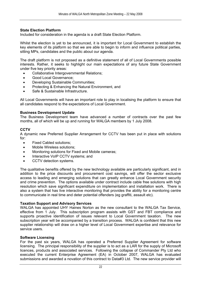#### **State Election Platform**

Included for consideration in the agenda is a draft State Election Platform.

Whilst the election is yet to be announced, it is important for Local Government to establish the key elements of its platform so that we are able to begin to inform and influence political parties, sitting MPs, candidates and the public about our agenda.

The draft platform is not proposed as a definitive statement of all of Local Governments possible interests. Rather, it seeks to highlight our main expectations of any future State Government under five key priority areas:

- Collaborative Intergovernmental Relations;
- Good Local Governance:
- Developing Sustainable Communities;
- Protecting & Enhancing the Natural Environment, and
- Safe & Sustainable Infrastructure.

All Local Governments will have an important role to play in localising the platform to ensure that all candidates respond to the expectations of Local Government.

#### **Business Development Update**

The Business Development team have advanced a number of contracts over the past few months, all of which will be up and running for WALGA members by 1 July 2008.

#### **CCTV**

A dynamic new Preferred Supplier Arrangement for CCTV has been put in place with solutions for:

- **Fixed Cabled solutions:**
- Mobile Wireless solutions;
- Monitoring solutions for Fixed and Mobile cameras;
- Interactive VoIP CCTV systems; and
- CCTV detection systems.

The qualitative benefits offered by the new technology available are particularly significant, and in addition to the price discounts and procurement cost savings, will offer the sector exclusive access to leading and emerging solutions that can greatly enhance Local Government security and crime prevention. The options available under contract include cable free solutions with high resolution which save significant expenditure on implementation and installation work. There is also a system that has live interactive monitoring that provides the ability for a monitoring centre to communicate in real time and deter potential offenders (eg graffiti, assault etc).

#### **Taxation Support and Advisory Services**

WALGA has appointed UHY Haines Norton as the new consultant to the WALGA Tax Service, effective from 1 July. This subscription program assists with GST and FBT compliance and supports proactive identification of issues relevant to Local Government taxation. The new subscription year will be accompanied by a transition process. WALGA is confident that this new supplier relationship will draw on a higher level of Local Government expertise and relevance for service users.

#### **Software Licensing**

For the past six years, WALGA has operated a Preferred Supplier Agreement for software licensing. The principal responsibility of the supplier is to act as a LAR for the supply of Microsoft licences, products and associated services. Following the collapse of Commander Pty Ltd who executed the current Enterprise Agreement (EA) in October 2007, WALGA has evaluated submissions and awarded a novation of this contract to Data#3 Ltd. The new service provider will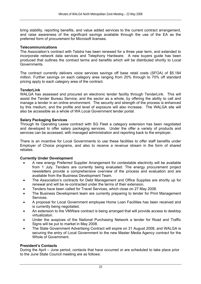bring stability, reporting benefits, and value added services to the current contract arrangement, and raise awareness of the significant savings available through the use of the EA as the preferred form of procurement for Microsoft licenses.

#### **Telecommunications**

The Association's contract with Telstra has been renewed for a three year term, and extended to incorporate network data services and Telephony Hardware. A new buyers guide has been produced that outlines the contract terms and benefits which will be distributed shortly to Local Governments.

The contract currently delivers voice services savings off base retail costs (SFOA) of \$5.184 million. Further savings on each category area ranging from 20% through to 70% off standard pricing apply to each category area of the contract.

#### **TenderLink**

WALGA has assessed and procured an electronic tender facility through TenderLink. This will assist the Tender Bureau Service, and the sector as a whole, by offering the ability to call and manage a tender in an online environment. The security and strength of the process is enhanced by this medium, and the profile and level of exposure will also increase. The WALGA site will also be accessible as a whole of WA Local Government tender portal.

#### **Salary Packaging Services**

Through its Operating Lease contract with SG Fleet a category extension has been negotiated and developed to offer salary packaging services. Under the offer a variety of products and services can be accessed, with managed administration and reporting back to the employer.

There is an incentive for Local Governments to use these facilities to offer staff benefits under Employer of Choice programs, and also to receive a revenue stream in the form of shared rebates.

#### **Currently Under Development**

- A new energy Preferred Supplier Arrangement for contestable electricity will be available from 1 July. Tenders are currently being evaluated. The energy procurement project newsletters provide a comprehensive overview of the process and evaluation and are available from the Business Development Team.
- The Association's contracts for Debt Management and Office Supplies are shortly up for renewal and will be re-contracted under the terms of their extension.
- Tenders have been called for Travel Services, which close on 27 May 2008.
- The Business Development team are currently preparing to tender for Print Management Services.
- A proposal for Local Government employee Home Loan Facilities has been received and is currently being negotiated.
- An extension to the VMWare contract is being arranged that will provide access to desktop virtualizaton.
- Under the auspices of the National Purchasing Network a tender for Road and Traffic Signs will be put to market in May 2008.
- The State Government Advertising Contract will expire on 31 August 2008, and WALGA is securing the entry of Local Government to the new Master Media Agency contract for the Whole of Government.

#### **President's Contacts**

During the April – June period, contacts that have occurred or are scheduled to take place prior to the June State Council meeting are as follows: